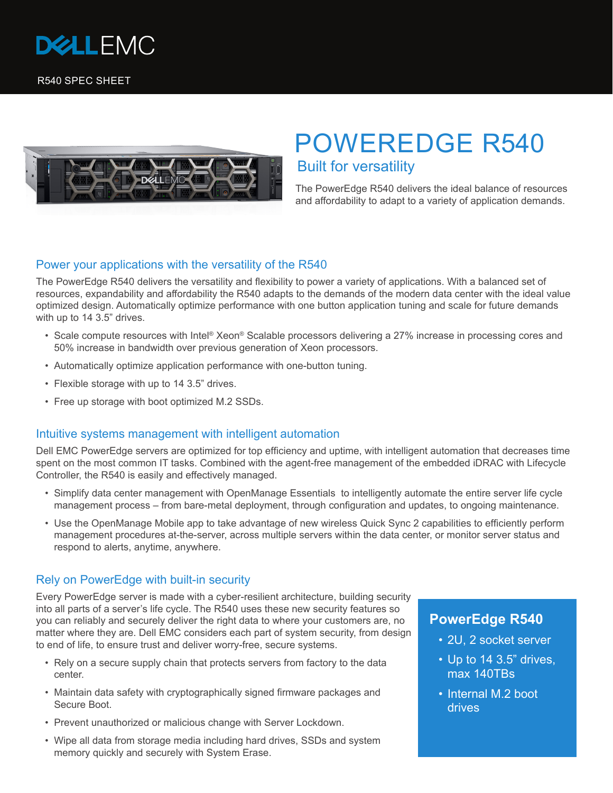

R540 SPEC SHEET



# POWEREDGE R540 Built for versatility

The PowerEdge R540 delivers the ideal balance of resources and affordability to adapt to a variety of application demands.

### Power your applications with the versatility of the R540

The PowerEdge R540 delivers the versatility and flexibility to power a variety of applications. With a balanced set of resources, expandability and affordability the R540 adapts to the demands of the modern data center with the ideal value optimized design. Automatically optimize performance with one button application tuning and scale for future demands with up to 14 3.5" drives.

- Scale compute resources with Intel® Xeon® Scalable processors delivering a 27% increase in processing cores and 50% increase in bandwidth over previous generation of Xeon processors.
- Automatically optimize application performance with one-button tuning.
- Flexible storage with up to 14 3.5" drives.
- Free up storage with boot optimized M.2 SSDs.

## Intuitive systems management with intelligent automation

Dell EMC PowerEdge servers are optimized for top efficiency and uptime, with intelligent automation that decreases time spent on the most common IT tasks. Combined with the agent-free management of the embedded iDRAC with Lifecycle Controller, the R540 is easily and effectively managed.

- Simplify data center management with OpenManage Essentials to intelligently automate the entire server life cycle management process – from bare-metal deployment, through configuration and updates, to ongoing maintenance.
- Use the OpenManage Mobile app to take advantage of new wireless Quick Sync 2 capabilities to efficiently perform management procedures at-the-server, across multiple servers within the data center, or monitor server status and respond to alerts, anytime, anywhere.

#### Rely on PowerEdge with built-in security

Every PowerEdge server is made with a cyber-resilient architecture, building security into all parts of a server's life cycle. The R540 uses these new security features so you can reliably and securely deliver the right data to where your customers are, no matter where they are. Dell EMC considers each part of system security, from design to end of life, to ensure trust and deliver worry-free, secure systems.

- Rely on a secure supply chain that protects servers from factory to the data center.
- Maintain data safety with cryptographically signed firmware packages and Secure Boot.
- Prevent unauthorized or malicious change with Server Lockdown.
- Wipe all data from storage media including hard drives, SSDs and system memory quickly and securely with System Erase.

# **PowerEdge R540**

- 2U, 2 socket server
- Up to 14 3.5" drives, max 140TBs
- Internal M.2 boot drives